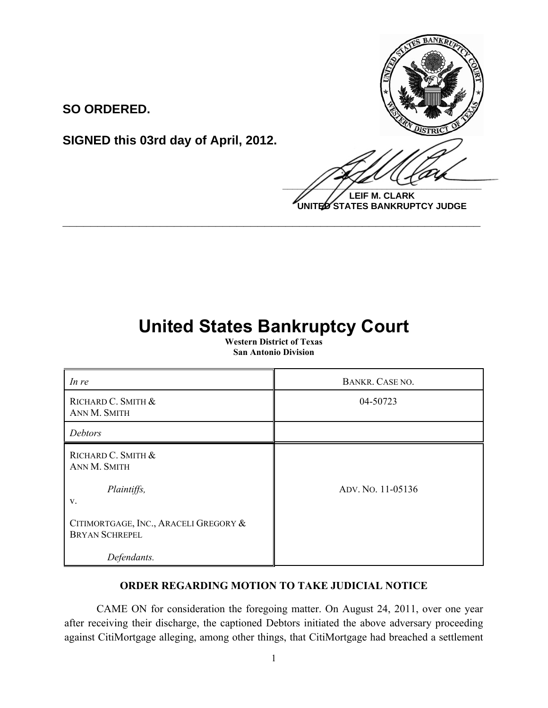

**SO ORDERED.**

**SIGNED this 03rd day of April, 2012.**

**LEIF M. CLARK UNITED STATES BANKRUPTCY JUDGE**

## **United States Bankruptcy Court**

**\_\_\_\_\_\_\_\_\_\_\_\_\_\_\_\_\_\_\_\_\_\_\_\_\_\_\_\_\_\_\_\_\_\_\_\_\_\_\_\_\_\_\_\_\_\_\_\_\_\_\_\_\_\_\_\_\_\_\_\_**

**Western District of Texas San Antonio Division**

| In re                                                          | BANKR. CASE NO.   |
|----------------------------------------------------------------|-------------------|
| RICHARD C. SMITH &<br>ANN M. SMITH                             | 04-50723          |
| Debtors                                                        |                   |
| RICHARD C. SMITH &<br>ANN M. SMITH                             |                   |
| Plaintiffs,<br>V.                                              | ADV. NO. 11-05136 |
| CITIMORTGAGE, INC., ARACELI GREGORY &<br><b>BRYAN SCHREPEL</b> |                   |
| Defendants.                                                    |                   |

## **ORDER REGARDING MOTION TO TAKE JUDICIAL NOTICE**

CAME ON for consideration the foregoing matter. On August 24, 2011, over one year after receiving their discharge, the captioned Debtors initiated the above adversary proceeding against CitiMortgage alleging, among other things, that CitiMortgage had breached a settlement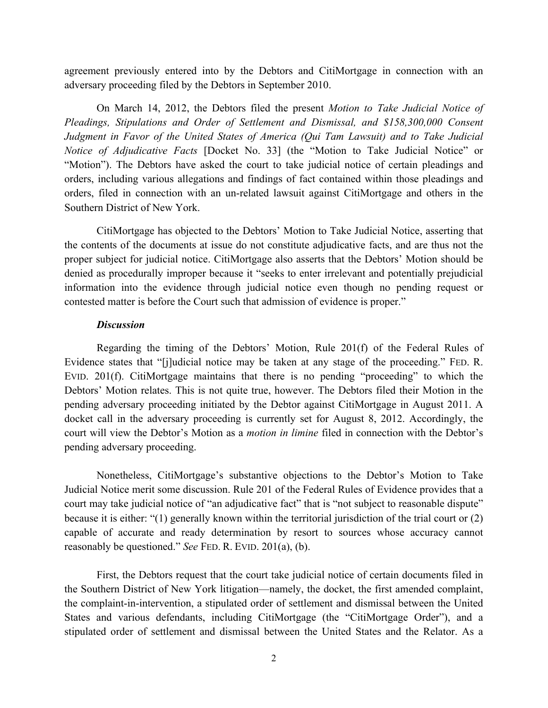agreement previously entered into by the Debtors and CitiMortgage in connection with an adversary proceeding filed by the Debtors in September 2010.

On March 14, 2012, the Debtors filed the present *Motion to Take Judicial Notice of Pleadings, Stipulations and Order of Settlement and Dismissal, and \$158,300,000 Consent Judgment in Favor of the United States of America (Qui Tam Lawsuit) and to Take Judicial Notice of Adjudicative Facts* [Docket No. 33] (the "Motion to Take Judicial Notice" or "Motion"). The Debtors have asked the court to take judicial notice of certain pleadings and orders, including various allegations and findings of fact contained within those pleadings and orders, filed in connection with an un-related lawsuit against CitiMortgage and others in the Southern District of New York.

CitiMortgage has objected to the Debtors' Motion to Take Judicial Notice, asserting that the contents of the documents at issue do not constitute adjudicative facts, and are thus not the proper subject for judicial notice. CitiMortgage also asserts that the Debtors' Motion should be denied as procedurally improper because it "seeks to enter irrelevant and potentially prejudicial information into the evidence through judicial notice even though no pending request or contested matter is before the Court such that admission of evidence is proper."

## *Discussion*

Regarding the timing of the Debtors' Motion, Rule 201(f) of the Federal Rules of Evidence states that "[j]udicial notice may be taken at any stage of the proceeding." FED. R. EVID. 201(f). CitiMortgage maintains that there is no pending "proceeding" to which the Debtors' Motion relates. This is not quite true, however. The Debtors filed their Motion in the pending adversary proceeding initiated by the Debtor against CitiMortgage in August 2011. A docket call in the adversary proceeding is currently set for August 8, 2012. Accordingly, the court will view the Debtor's Motion as a *motion in limine* filed in connection with the Debtor's pending adversary proceeding.

Nonetheless, CitiMortgage's substantive objections to the Debtor's Motion to Take Judicial Notice merit some discussion. Rule 201 of the Federal Rules of Evidence provides that a court may take judicial notice of "an adjudicative fact" that is "not subject to reasonable dispute" because it is either: "(1) generally known within the territorial jurisdiction of the trial court or (2) capable of accurate and ready determination by resort to sources whose accuracy cannot reasonably be questioned." *See* FED. R. EVID. 201(a), (b).

First, the Debtors request that the court take judicial notice of certain documents filed in the Southern District of New York litigation—namely, the docket, the first amended complaint, the complaint-in-intervention, a stipulated order of settlement and dismissal between the United States and various defendants, including CitiMortgage (the "CitiMortgage Order"), and a stipulated order of settlement and dismissal between the United States and the Relator. As a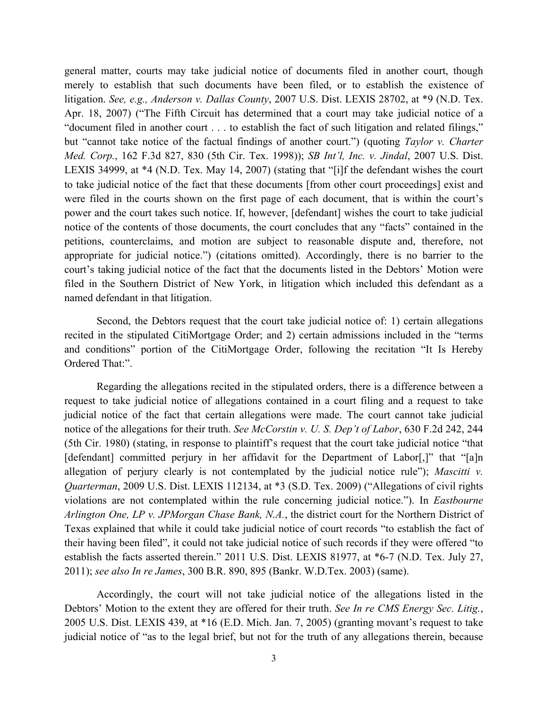general matter, courts may take judicial notice of documents filed in another court, though merely to establish that such documents have been filed, or to establish the existence of litigation. *See, e.g., Anderson v. Dallas County*, 2007 U.S. Dist. LEXIS 28702, at \*9 (N.D. Tex. Apr. 18, 2007) ("The Fifth Circuit has determined that a court may take judicial notice of a "document filed in another court . . . to establish the fact of such litigation and related filings," but "cannot take notice of the factual findings of another court.") (quoting *Taylor v. Charter Med. Corp.*, 162 F.3d 827, 830 (5th Cir. Tex. 1998)); *SB Int'l, Inc. v. Jindal*, 2007 U.S. Dist. LEXIS 34999, at \*4 (N.D. Tex. May 14, 2007) (stating that "[i]f the defendant wishes the court to take judicial notice of the fact that these documents [from other court proceedings] exist and were filed in the courts shown on the first page of each document, that is within the court's power and the court takes such notice. If, however, [defendant] wishes the court to take judicial notice of the contents of those documents, the court concludes that any "facts" contained in the petitions, counterclaims, and motion are subject to reasonable dispute and, therefore, not appropriate for judicial notice.") (citations omitted). Accordingly, there is no barrier to the court's taking judicial notice of the fact that the documents listed in the Debtors' Motion were filed in the Southern District of New York, in litigation which included this defendant as a named defendant in that litigation.

Second, the Debtors request that the court take judicial notice of: 1) certain allegations recited in the stipulated CitiMortgage Order; and 2) certain admissions included in the "terms and conditions" portion of the CitiMortgage Order, following the recitation "It Is Hereby Ordered That:".

Regarding the allegations recited in the stipulated orders, there is a difference between a request to take judicial notice of allegations contained in a court filing and a request to take judicial notice of the fact that certain allegations were made. The court cannot take judicial notice of the allegations for their truth. *See McCorstin v. U. S. Dep't of Labor*, 630 F.2d 242, 244 (5th Cir. 1980) (stating, in response to plaintiff's request that the court take judicial notice "that [defendant] committed perjury in her affidavit for the Department of Labor[,]" that "[a]n allegation of perjury clearly is not contemplated by the judicial notice rule"); *Mascitti v. Quarterman*, 2009 U.S. Dist. LEXIS 112134, at \*3 (S.D. Tex. 2009) ("Allegations of civil rights violations are not contemplated within the rule concerning judicial notice."). In *Eastbourne Arlington One, LP v. JPMorgan Chase Bank, N.A.*, the district court for the Northern District of Texas explained that while it could take judicial notice of court records "to establish the fact of their having been filed", it could not take judicial notice of such records if they were offered "to establish the facts asserted therein." 2011 U.S. Dist. LEXIS 81977, at \*6-7 (N.D. Tex. July 27, 2011); *see also In re James*, 300 B.R. 890, 895 (Bankr. W.D.Tex. 2003) (same).

Accordingly, the court will not take judicial notice of the allegations listed in the Debtors' Motion to the extent they are offered for their truth. *See In re CMS Energy Sec. Litig.*, 2005 U.S. Dist. LEXIS 439, at \*16 (E.D. Mich. Jan. 7, 2005) (granting movant's request to take judicial notice of "as to the legal brief, but not for the truth of any allegations therein, because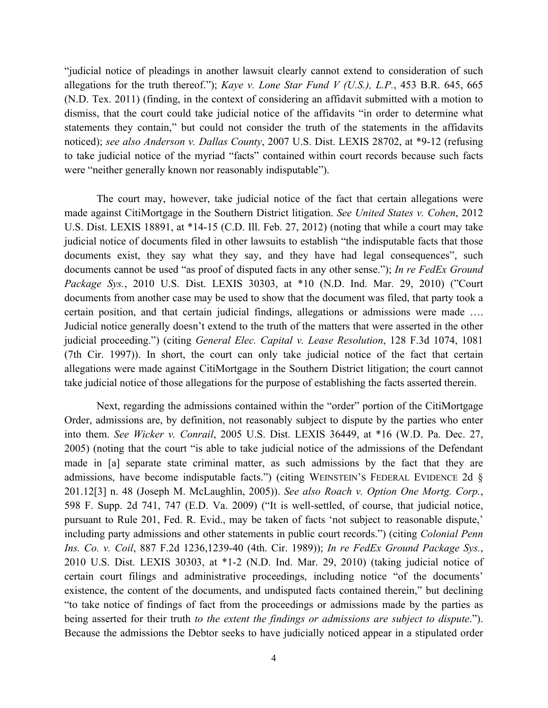"judicial notice of pleadings in another lawsuit clearly cannot extend to consideration of such allegations for the truth thereof."); *Kaye v. Lone Star Fund V (U.S.), L.P.*, 453 B.R. 645, 665 (N.D. Tex. 2011) (finding, in the context of considering an affidavit submitted with a motion to dismiss, that the court could take judicial notice of the affidavits "in order to determine what statements they contain," but could not consider the truth of the statements in the affidavits noticed); *see also Anderson v. Dallas County*, 2007 U.S. Dist. LEXIS 28702, at \*9-12 (refusing to take judicial notice of the myriad "facts" contained within court records because such facts were "neither generally known nor reasonably indisputable").

The court may, however, take judicial notice of the fact that certain allegations were made against CitiMortgage in the Southern District litigation. *See United States v. Cohen*, 2012 U.S. Dist. LEXIS 18891, at \*14-15 (C.D. Ill. Feb. 27, 2012) (noting that while a court may take judicial notice of documents filed in other lawsuits to establish "the indisputable facts that those documents exist, they say what they say, and they have had legal consequences", such documents cannot be used "as proof of disputed facts in any other sense."); *In re FedEx Ground Package Sys.*, 2010 U.S. Dist. LEXIS 30303, at \*10 (N.D. Ind. Mar. 29, 2010) ("Court documents from another case may be used to show that the document was filed, that party took a certain position, and that certain judicial findings, allegations or admissions were made …. Judicial notice generally doesn't extend to the truth of the matters that were asserted in the other judicial proceeding.") (citing *General Elec. Capital v. Lease Resolution*, 128 F.3d 1074, 1081 (7th Cir. 1997)). In short, the court can only take judicial notice of the fact that certain allegations were made against CitiMortgage in the Southern District litigation; the court cannot take judicial notice of those allegations for the purpose of establishing the facts asserted therein.

Next, regarding the admissions contained within the "order" portion of the CitiMortgage Order, admissions are, by definition, not reasonably subject to dispute by the parties who enter into them. *See Wicker v. Conrail*, 2005 U.S. Dist. LEXIS 36449, at \*16 (W.D. Pa. Dec. 27, 2005) (noting that the court "is able to take judicial notice of the admissions of the Defendant made in [a] separate state criminal matter, as such admissions by the fact that they are admissions, have become indisputable facts.") (citing WEINSTEIN'S FEDERAL EVIDENCE 2d § 201.12[3] n. 48 (Joseph M. McLaughlin, 2005)). *See also Roach v. Option One Mortg. Corp.*, 598 F. Supp. 2d 741, 747 (E.D. Va. 2009) ("It is well-settled, of course, that judicial notice, pursuant to Rule 201, Fed. R. Evid., may be taken of facts 'not subject to reasonable dispute,' including party admissions and other statements in public court records.") (citing *Colonial Penn Ins. Co. v. Coil*, 887 F.2d 1236,1239-40 (4th. Cir. 1989)); *In re FedEx Ground Package Sys.*, 2010 U.S. Dist. LEXIS 30303, at \*1-2 (N.D. Ind. Mar. 29, 2010) (taking judicial notice of certain court filings and administrative proceedings, including notice "of the documents' existence, the content of the documents, and undisputed facts contained therein," but declining "to take notice of findings of fact from the proceedings or admissions made by the parties as being asserted for their truth *to the extent the findings or admissions are subject to dispute*."). Because the admissions the Debtor seeks to have judicially noticed appear in a stipulated order